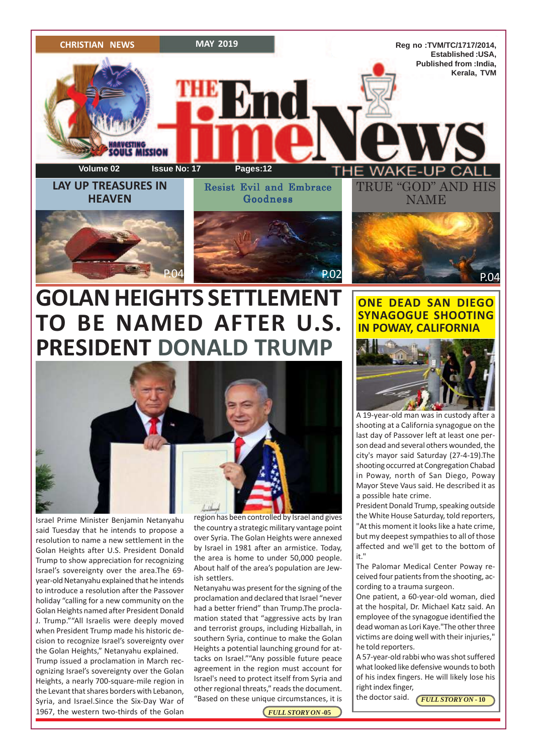

# **GOLAN HEIGHTS SETTLEMENT TO BE NAMED AFTER U.S. PRESIDENT DONALD TRUMP**



Israel Prime Minister Benjamin Netanyahu said Tuesday that he intends to propose a resolution to name a new settlement in the Golan Heights after U.S. President Donald Trump to show appreciation for recognizing Israel's sovereignty over the area.The 69 year-old Netanyahu explained that he intends to introduce a resolution after the Passover holiday "calling for a new community on the Golan Heights named after President Donald J. Trump.""All Israelis were deeply moved when President Trump made his historic decision to recognize Israel's sovereignty over the Golan Heights," Netanyahu explained. Trump issued a proclamation in March recognizing Israel's sovereignty over the Golan Heights, a nearly 700-square-mile region in the Levant that shares borders with Lebanon, Syria, and Israel.Since the Six-Day War of 1967, the western two-thirds of the Golan

region has been controlled by Israel and gives the country a strategic military vantage point over Syria. The Golan Heights were annexed by Israel in 1981 after an armistice. Today, the area is home to under 50,000 people. About half of the area's population are Jewish settlers.

Netanyahu was present for the signing of the proclamation and declared that Israel "never had a better friend" than Trump.The proclamation stated that "aggressive acts by Iran and terrorist groups, including Hizballah, in southern Syria, continue to make the Golan Heights a potential launching ground for attacks on Israel.""Any possible future peace agreement in the region must account for Israel's need to protect itself from Syria and other regional threats," reads the document. "Based on these unique circumstances, it is

**ONE DEAD SAN DIEGO SYNAGOGUE SHOOTING IN POWAY, CALIFORNIA**



A 19-year-old man was in custody after a shooting at a California synagogue on the last day of Passover left at least one person dead and several others wounded, the city's mayor said Saturday (27-4-19).The shooting occurred at Congregation Chabad in Poway, north of San Diego, Poway Mayor Steve Vaus said. He described it as a possible hate crime.

President Donald Trump, speaking outside the White House Saturday, told reporters, "At this moment it looks like a hate crime, but my deepest sympathies to all of those affected and we'll get to the bottom of it."

The Palomar Medical Center Poway received four patients from the shooting, according to a trauma surgeon.

One patient, a 60-year-old woman, died at the hospital, Dr. Michael Katz said. An employee of the synagogue identified the dead woman as Lori Kaye."The other three victims are doing well with their injuries," he told reporters.

A 57-year-old rabbi who was shot suffered what looked like defensive wounds to both of his index fingers. He will likely lose his right index finger,

the doctor said.

*FULL STORY ON* **- 10**

*FULL STORY ON* **-05**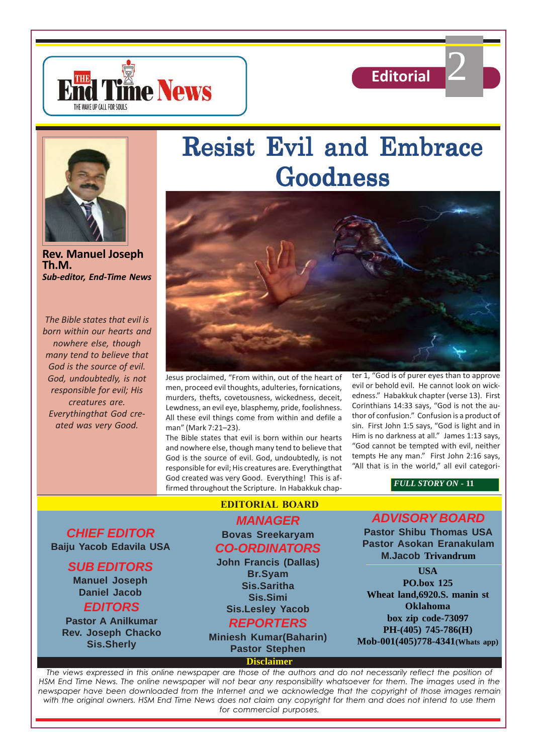





**Rev. Manuel Joseph Th.M.** *Sub-editor, End-Time News*

*The Bible states that evil is born within our hearts and nowhere else, though many tend to believe that God is the source of evil. God, undoubtedly, is not responsible for evil; His creatures are. Everythingthat God created was very Good.*

# Resist Evil and Embrace Goodness



Jesus proclaimed, "From within, out of the heart of men, proceed evil thoughts, adulteries, fornications, murders, thefts, covetousness, wickedness, deceit, Lewdness, an evil eye, blasphemy, pride, foolishness. All these evil things come from within and defile a man" (Mark 7:21–23).

The Bible states that evil is born within our hearts and nowhere else, though many tend to believe that God is the source of evil. God, undoubtedly, is not responsible for evil; His creatures are. Everythingthat God created was very Good. Everything! This is affirmed throughout the Scripture. In Habakkuk chapter 1, "God is of purer eyes than to approve evil or behold evil. He cannot look on wickedness." Habakkuk chapter (verse 13). First Corinthians 14:33 says, "God is not the author of confusion." Confusion is a product of sin. First John 1:5 says, "God is light and in Him is no darkness at all." James 1:13 says, "God cannot be tempted with evil, neither tempts He any man." First John 2:16 says, "All that is in the world," all evil categori-

2

*FULL STORY ON* **- 11**

**CHIEF EDITOR Baiju Yacob Edavila USA**

### **SUB EDITORS**

**Manuel Joseph Daniel Jacob EDITORS**

**Pastor A Anilkumar Rev. Joseph Chacko Sis.Sherly**

#### **EDITORIAL BOARD**

### **MANAGER Bovas Sreekaryam CO-ORDINATORS**

**John Francis (Dallas) Br.Syam Sis.Saritha Sis.Simi Sis.Lesley Yacob**

### **REPORTERS**

**Miniesh Kumar(Baharin) Pastor Stephen**

**Disclaimer**

### **ADVISORY BOARD**

**Pastor Shibu Thomas USA Pastor Asokan Eranakulam M.Jacob Trivandrum**

**USA PO.box 125 Wheat land,6920.S. manin st Oklahoma box zip code-73097 PH-(405) 745-786(H) Mob-001(405)778-4341(Whats app)**

*The views expressed in this online newspaper are those of the authors and do not necessarily reflect the position of HSM End Time News. The online newspaper will not bear any responsibility whatsoever for them. The images used in the newspaper have been downloaded from the Internet and we acknowledge that the copyright of those images remain with the original owners. HSM End Time News does not claim any copyright for them and does not intend to use them for commercial purposes.*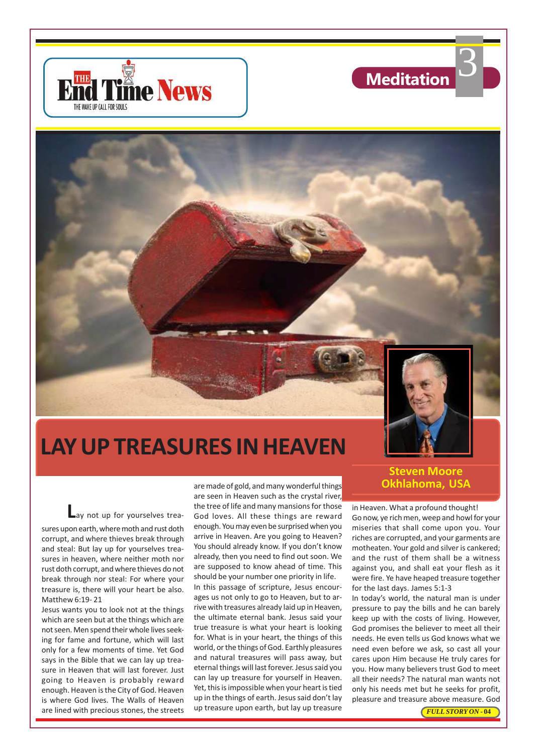





# **LAY UP TREASURES IN HEAVEN**

**L**ay not up for yourselves treasures upon earth, where moth and rust doth corrupt, and where thieves break through and steal: But lay up for yourselves treasures in heaven, where neither moth nor rust doth corrupt, and where thieves do not break through nor steal: For where your treasure is, there will your heart be also. Matthew 6:19- 21

Jesus wants you to look not at the things which are seen but at the things which are not seen. Men spend their whole lives seeking for fame and fortune, which will last only for a few moments of time. Yet God says in the Bible that we can lay up treasure in Heaven that will last forever. Just going to Heaven is probably reward enough. Heaven is the City of God. Heaven is where God lives. The Walls of Heaven are lined with precious stones, the streets

are made of gold, and many wonderful things are seen in Heaven such as the crystal river, the tree of life and many mansions for those God loves. All these things are reward enough. You may even be surprised when you arrive in Heaven. Are you going to Heaven? You should already know. If you don't know already, then you need to find out soon. We are supposed to know ahead of time. This should be your number one priority in life. In this passage of scripture, Jesus encourages us not only to go to Heaven, but to arrive with treasures already laid up in Heaven, the ultimate eternal bank. Jesus said your true treasure is what your heart is looking for. What is in your heart, the things of this world, or the things of God. Earthly pleasures and natural treasures will pass away, but eternal things will last forever. Jesus said you can lay up treasure for yourself in Heaven. Yet, this is impossible when your heart is tied up in the things of earth. Jesus said don't lay up treasure upon earth, but lay up treasure

# **Steven Moore**

in Heaven. What a profound thought! Go now, ye rich men, weep and howl for your miseries that shall come upon you. Your riches are corrupted, and your garments are motheaten. Your gold and silver is cankered; and the rust of them shall be a witness against you, and shall eat your flesh as it were fire. Ye have heaped treasure together for the last days. James 5:1-3

In today's world, the natural man is under pressure to pay the bills and he can barely keep up with the costs of living. However, God promises the believer to meet all their needs. He even tells us God knows what we need even before we ask, so cast all your cares upon Him because He truly cares for you. How many believers trust God to meet all their needs? The natural man wants not only his needs met but he seeks for profit, pleasure and treasure above measure. God

*FULL STORY ON* **- 04**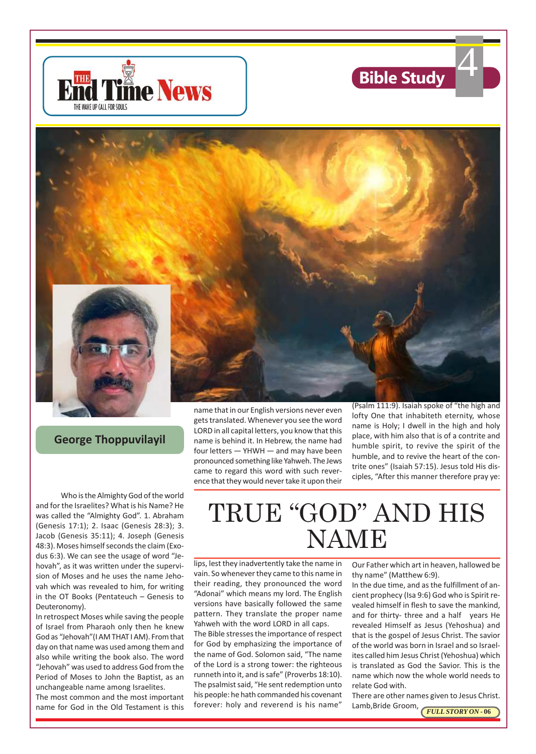





**George Thoppuvilayil**

Who is the Almighty God of the world and for the Israelites? What is his Name? He was called the "Almighty God". 1. Abraham (Genesis 17:1); 2. Isaac (Genesis 28:3); 3. Jacob (Genesis 35:11); 4. Joseph (Genesis 48:3). Moses himself seconds the claim (Exodus 6:3). We can see the usage of word "Jehovah", as it was written under the supervision of Moses and he uses the name Jehovah which was revealed to him, for writing in the OT Books (Pentateuch – Genesis to Deuteronomy).

In retrospect Moses while saving the people of Israel from Pharaoh only then he knew God as "Jehovah"(I AM THAT I AM). From that day on that name was used among them and also while writing the book also. The word "Jehovah" was used to address God from the Period of Moses to John the Baptist, as an unchangeable name among Israelites.

The most common and the most important name for God in the Old Testament is this name that in our English versions never even gets translated. Whenever you see the word LORD in all capital letters, you know that this name is behind it. In Hebrew, the name had four letters — YHWH — and may have been pronounced something like Yahweh. The Jews came to regard this word with such reverence that they would never take it upon their

lofty One that inhabiteth eternity, whose name is Holy; I dwell in the high and holy place, with him also that is of a contrite and humble spirit, to revive the spirit of the humble, and to revive the heart of the contrite ones" (Isaiah 57:15). Jesus told His disciples, "After this manner therefore pray ye:

# TRUE "GOD" AND HIS NAME

lips, lest they inadvertently take the name in vain. So whenever they came to this name in their reading, they pronounced the word "Adonai" which means my lord. The English versions have basically followed the same pattern. They translate the proper name Yahweh with the word LORD in all caps.

The Bible stresses the importance of respect for God by emphasizing the importance of the name of God. Solomon said, "The name of the Lord is a strong tower: the righteous runneth into it, and is safe" (Proverbs 18:10). The psalmist said, "He sent redemption unto his people: he hath commanded his covenant forever: holy and reverend is his name"

Our Father which art in heaven, hallowed be thy name" (Matthew 6:9).

In the due time, and as the fulfillment of ancient prophecy (Isa 9:6) God who is Spirit revealed himself in flesh to save the mankind, and for thirty- three and a half years He revealed Himself as Jesus (Yehoshua) and that is the gospel of Jesus Christ. The savior of the world was born in Israel and so Israelites called him Jesus Christ (Yehoshua) which is translated as God the Savior. This is the name which now the whole world needs to relate God with.

Lamb,Bride Groom, **FULL STORY ON - 06** There are other names given to Jesus Christ.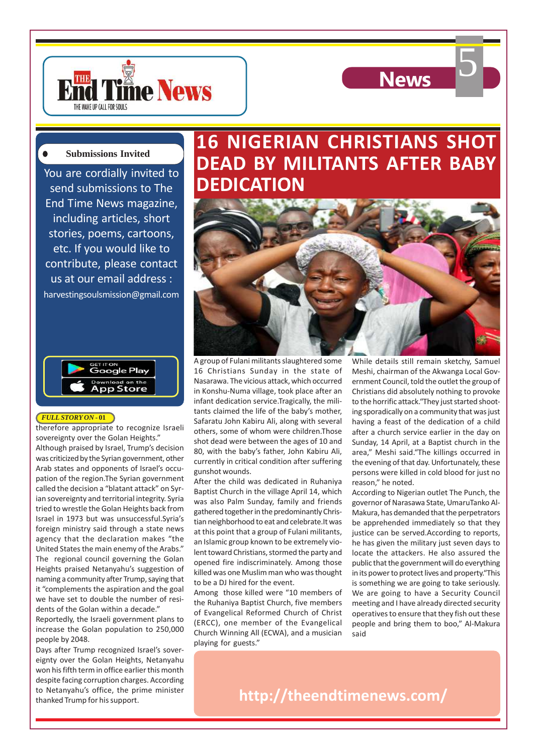



#### **Submissions Invited**

You are cordially invited to send submissions to The End Time News magazine, including articles, short stories, poems, cartoons, etc. If you would like to contribute, please contact us at our email address : harvestingsoulsmission@gmail.com



#### *FULL STORY ON* **- 01**

therefore appropriate to recognize Israeli sovereignty over the Golan Heights." Although praised by Israel, Trump's decision was criticized by the Syrian government, other Arab states and opponents of Israel's occupation of the region.The Syrian government called the decision a "blatant attack" on Syrian sovereignty and territorial integrity. Syria tried to wrestle the Golan Heights back from Israel in 1973 but was unsuccessful.Syria's foreign ministry said through a state news agency that the declaration makes "the United States the main enemy of the Arabs." The regional council governing the Golan Heights praised Netanyahu's suggestion of naming a community after Trump, saying that it "complements the aspiration and the goal we have set to double the number of resi-

dents of the Golan within a decade." Reportedly, the Israeli government plans to increase the Golan population to 250,000 people by 2048.

Days after Trump recognized Israel's sovereignty over the Golan Heights, Netanyahu won his fifth term in office earlier this month despite facing corruption charges. According to Netanyahu's office, the prime minister thanked Trump for his support.

## **16 NIGERIAN CHRISTIANS SHOT DEAD BY MILITANTS AFTER BABY DEDICATION**



A group of Fulani militants slaughtered some 16 Christians Sunday in the state of Nasarawa. The vicious attack, which occurred in Konshu-Numa village, took place after an infant dedication service.Tragically, the militants claimed the life of the baby's mother, Safaratu John Kabiru Ali, along with several others, some of whom were children.Those shot dead were between the ages of 10 and 80, with the baby's father, John Kabiru Ali, currently in critical condition after suffering gunshot wounds.

After the child was dedicated in Ruhaniya Baptist Church in the village April 14, which was also Palm Sunday, family and friends gathered together in the predominantly Christian neighborhood to eat and celebrate.It was at this point that a group of Fulani militants, an Islamic group known to be extremely violent toward Christians, stormed the party and opened fire indiscriminately. Among those killed was one Muslim man who was thought to be a DJ hired for the event.

Among those killed were "10 members of the Ruhaniya Baptist Church, five members of Evangelical Reformed Church of Christ (ERCC), one member of the Evangelical Church Winning All (ECWA), and a musician said playing for guests."

While details still remain sketchy, Samuel Meshi, chairman of the Akwanga Local Government Council, told the outlet the group of Christians did absolutely nothing to provoke to the horrific attack."They just started shooting sporadically on a community that was just having a feast of the dedication of a child after a church service earlier in the day on Sunday, 14 April, at a Baptist church in the area," Meshi said."The killings occurred in the evening of that day. Unfortunately, these persons were killed in cold blood for just no reason," he noted.

According to Nigerian outlet The Punch, the governor of Narasawa State, UmaruTanko Al-Makura, has demanded that the perpetrators be apprehended immediately so that they justice can be served.According to reports, he has given the military just seven days to locate the attackers. He also assured the public that the government will do everything in its power to protect lives and property."This is something we are going to take seriously. We are going to have a Security Council meeting and I have already directed security operatives to ensure that they fish out these people and bring them to boo," Al-Makura

**http://theendtimenews.com/**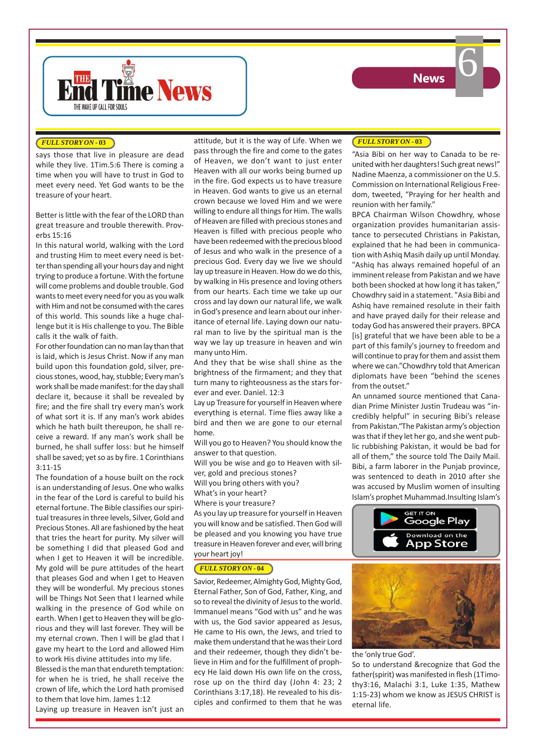



#### *FULL STORY ON* **- 03**

says those that live in pleasure are dead while they live. 1Tim.5:6 There is coming a time when you will have to trust in God to meet every need. Yet God wants to be the treasure of your heart.

Better is little with the fear of the LORD than great treasure and trouble therewith. Proverbs 15:16

In this natural world, walking with the Lord and trusting Him to meet every need is better than spending all your hours day and night trying to produce a fortune. With the fortune will come problems and double trouble. God wants to meet every need for you as you walk with Him and not be consumed with the cares of this world. This sounds like a huge challenge but it is His challenge to you. The Bible calls it the walk of faith.

For other foundation can no man lay than that is laid, which is Jesus Christ. Now if any man build upon this foundation gold, silver, precious stones, wood, hay, stubble; Every man's work shall be made manifest: for the day shall declare it, because it shall be revealed by fire; and the fire shall try every man's work of what sort it is. If any man's work abides which he hath built thereupon, he shall receive a reward. If any man's work shall be burned, he shall suffer loss: but he himself shall be saved; yet so as by fire. 1 Corinthians 3:11-15

The foundation of a house built on the rock is an understanding of Jesus. One who walks in the fear of the Lord is careful to build his eternal fortune. The Bible classifies our spiritual treasures in three levels, Silver, Gold and Precious Stones. All are fashioned by the heat that tries the heart for purity. My silver will be something I did that pleased God and when I get to Heaven it will be incredible. My gold will be pure attitudes of the heart that pleases God and when I get to Heaven they will be wonderful. My precious stones will be Things Not Seen that I learned while walking in the presence of God while on earth. When I get to Heaven they will be glorious and they will last forever. They will be my eternal crown. Then I will be glad that I gave my heart to the Lord and allowed Him to work His divine attitudes into my life.

Blessed is the man that endureth temptation: for when he is tried, he shall receive the crown of life, which the Lord hath promised to them that love him. James 1:12

Laying up treasure in Heaven isn't just an

attitude, but it is the way of Life. When we pass through the fire and come to the gates of Heaven, we don't want to just enter Heaven with all our works being burned up in the fire. God expects us to have treasure in Heaven. God wants to give us an eternal crown because we loved Him and we were willing to endure all things for Him. The walls of Heaven are filled with precious stones and Heaven is filled with precious people who have been redeemed with the precious blood of Jesus and who walk in the presence of a precious God. Every day we live we should lay up treasure in Heaven. How do we do this, by walking in His presence and loving others from our hearts. Each time we take up our cross and lay down our natural life, we walk in God's presence and learn about our inheritance of eternal life. Laying down our natural man to live by the spiritual man is the way we lay up treasure in heaven and win many unto Him.

And they that be wise shall shine as the brightness of the firmament; and they that turn many to righteousness as the stars forever and ever. Daniel. 12:3

Lay up Treasure for yourself in Heaven where everything is eternal. Time flies away like a bird and then we are gone to our eternal home.

Will you go to Heaven? You should know the answer to that question.

Will you be wise and go to Heaven with silver, gold and precious stones? Will you bring others with you?

What's in your heart?

Where is your treasure?

As you lay up treasure for yourself in Heaven you will know and be satisfied. Then God will be pleased and you knowing you have true treasure in Heaven forever and ever, will bring your heart joy!

#### *FULL STORY ON* **- 04**

Savior, Redeemer, Almighty God, Mighty God, Eternal Father, Son of God, Father, King, and so to reveal the divinity of Jesus to the world. Immanuel means "God with us" and he was with us, the God savior appeared as Jesus, He came to His own, the Jews, and tried to make them understand that he was their Lord and their redeemer, though they didn't believe in Him and for the fulfillment of prophecy He laid down His own life on the cross, rose up on the third day (John 4: 23; 2 Corinthians 3:17,18). He revealed to his disciples and confirmed to them that he was

#### *FULL STORY ON* **- 03**

"Asia Bibi on her way to Canada to be reunited with her daughters! Such great news!" Nadine Maenza, a commissioner on the U.S. Commission on International Religious Freedom, tweeted, "Praying for her health and reunion with her family."

BPCA Chairman Wilson Chowdhry, whose organization provides humanitarian assistance to persecuted Christians in Pakistan, explained that he had been in communication with Ashiq Masih daily up until Monday. "Ashiq has always remained hopeful of an imminent release from Pakistan and we have both been shocked at how long it has taken," Chowdhry said in a statement. "Asia Bibi and Ashiq have remained resolute in their faith and have prayed daily for their release and today God has answered their prayers. BPCA [is] grateful that we have been able to be a part of this family's journey to freedom and will continue to pray for them and assist them where we can."Chowdhry told that American diplomats have been "behind the scenes from the outset."

An unnamed source mentioned that Canadian Prime Minister Justin Trudeau was "incredibly helpful" in securing Bibi's release from Pakistan."The Pakistan army's objection was that if they let her go, and she went public rubbishing Pakistan, it would be bad for all of them," the source told The Daily Mail. Bibi, a farm laborer in the Punjab province, was sentenced to death in 2010 after she was accused by Muslim women of insulting Islam's prophet Muhammad.Insulting Islam's





the 'only true God'.

So to understand &recognize that God the father(spirit) was manifested in flesh (1Timothy3:16, Malachi 3:1, Luke 1:35, Mathew 1:15-23) whom we know as JESUS CHRIST is eternal life.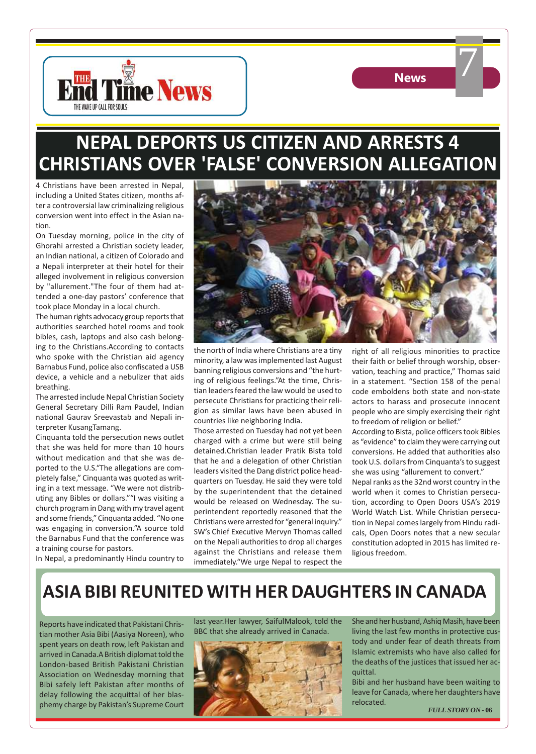



7

## **NEPAL DEPORTS US CITIZEN AND ARRESTS 4 CHRISTIANS OVER 'FALSE' CONVERSION ALLEGATION**

4 Christians have been arrested in Nepal, including a United States citizen, months after a controversial law criminalizing religious conversion went into effect in the Asian nation.

On Tuesday morning, police in the city of Ghorahi arrested a Christian society leader, an Indian national, a citizen of Colorado and a Nepali interpreter at their hotel for their alleged involvement in religious conversion by "allurement."The four of them had attended a one-day pastors' conference that took place Monday in a local church.

The human rights advocacy group reports that authorities searched hotel rooms and took bibles, cash, laptops and also cash belonging to the Christians.According to contacts who spoke with the Christian aid agency Barnabus Fund, police also confiscated a USB device, a vehicle and a nebulizer that aids breathing.

The arrested include Nepal Christian Society General Secretary Dilli Ram Paudel, Indian national Gaurav Sreevastab and Nepali interpreter KusangTamang.

Cinquanta told the persecution news outlet that she was held for more than 10 hours without medication and that she was deported to the U.S."The allegations are completely false," Cinquanta was quoted as writing in a text message. "We were not distributing any Bibles or dollars.""I was visiting a church program in Dang with my travel agent and some friends," Cinquanta added. "No one was engaging in conversion."A source told the Barnabus Fund that the conference was a training course for pastors.

In Nepal, a predominantly Hindu country to



the north of India where Christians are a tiny minority, a law was implemented last August banning religious conversions and "the hurting of religious feelings."At the time, Christian leaders feared the law would be used to persecute Christians for practicing their religion as similar laws have been abused in countries like neighboring India.

Those arrested on Tuesday had not yet been charged with a crime but were still being detained.Christian leader Pratik Bista told that he and a delegation of other Christian leaders visited the Dang district police headquarters on Tuesday. He said they were told by the superintendent that the detained would be released on Wednesday. The superintendent reportedly reasoned that the Christians were arrested for "general inquiry." SW's Chief Executive Mervyn Thomas called on the Nepali authorities to drop all charges against the Christians and release them immediately."We urge Nepal to respect the

right of all religious minorities to practice their faith or belief through worship, observation, teaching and practice," Thomas said in a statement. "Section 158 of the penal code emboldens both state and non-state actors to harass and prosecute innocent people who are simply exercising their right to freedom of religion or belief."

According to Bista, police officers took Bibles as "evidence" to claim they were carrying out conversions. He added that authorities also took U.S. dollars from Cinquanta's to suggest she was using "allurement to convert."

Nepal ranks as the 32nd worst country in the world when it comes to Christian persecution, according to Open Doors USA's 2019 World Watch List. While Christian persecution in Nepal comes largely from Hindu radicals, Open Doors notes that a new secular constitution adopted in 2015 has limited religious freedom.

## **ASIA BIBI REUNITED WITH HER DAUGHTERS IN CANADA**

Reports have indicated that Pakistani Christian mother Asia Bibi (Aasiya Noreen), who spent years on death row, left Pakistan and arrived in Canada.A British diplomat told the London-based British Pakistani Christian Association on Wednesday morning that Bibi safely left Pakistan after months of delay following the acquittal of her blasphemy charge by Pakistan's Supreme Court last year.Her lawyer, SaifulMalook, told the BBC that she already arrived in Canada.



She and her husband, Ashiq Masih, have been living the last few months in protective custody and under fear of death threats from Islamic extremists who have also called for the deaths of the justices that issued her acquittal.

Bibi and her husband have been waiting to leave for Canada, where her daughters have relocated.

*FULL STORY ON* **- 06**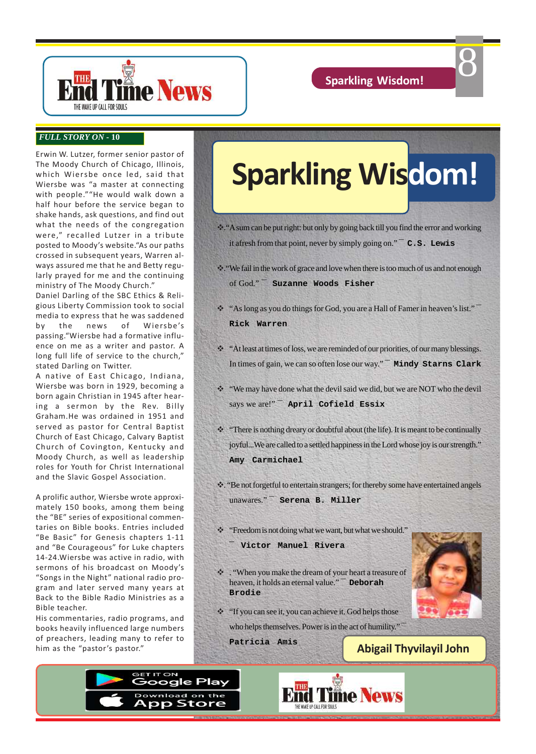8



#### *FULL STORY ON* **- 10**

Erwin W. Lutzer, former senior pastor of The Moody Church of Chicago, Illinois, which Wiersbe once led, said that Wiersbe was "a master at connecting with people.""He would walk down a half hour before the service began to shake hands, ask questions, and find out what the needs of the congregation were," recalled Lutzer in a tribute posted to Moody's website."As our paths crossed in subsequent years, Warren always assured me that he and Betty regularly prayed for me and the continuing ministry of The Moody Church."

Daniel Darling of the SBC Ethics & Religious Liberty Commission took to social media to express that he was saddened by the news of Wiersbe's passing."Wiersbe had a formative influence on me as a writer and pastor. A long full life of service to the church," stated Darling on Twitter.

A native of East Chicago, Indiana, Wiersbe was born in 1929, becoming a born again Christian in 1945 after hearing a sermon by the Rev. Billy Graham.He was ordained in 1951 and served as pastor for Central Baptist Church of East Chicago, Calvary Baptist Church of Covington, Kentucky and Moody Church, as well as leadership roles for Youth for Christ International and the Slavic Gospel Association.

A prolific author, Wiersbe wrote approximately 150 books, among them being the "BE" series of expositional commentaries on Bible books. Entries included "Be Basic" for Genesis chapters 1-11 and "Be Courageous" for Luke chapters 14-24.Wiersbe was active in radio, with sermons of his broadcast on Moody's "Songs in the Night" national radio program and later served many years at Back to the Bible Radio Ministries as a Bible teacher.

His commentaries, radio programs, and books heavily influenced large numbers of preachers, leading many to refer to him as the "pastor's pastor."

# **Sparkling Wisdom!**

v."A sum can be put right: but only by going back till you find the error and working it afresh from that point, never by simply going on." **¯ C.S. Lewis**

v."We fail in the work of grace and love when there is too much of us and not enough of God." **¯ Suzanne Woods Fisher**

- \*\* "As long as you do things for God, you are a Hall of Famer in heaven's list." **Rick Warren**
- \*\* "At least at times of loss, we are reminded of our priorities, of our many blessings. In times of gain, we can so often lose our way." **¯ Mindy Starns Clark**
- \* "We may have done what the devil said we did, but we are NOT who the devil says we are!" **¯ April Cofield Essix**
- $\cdot$  "There is nothing dreary or doubtful about (the life). It is meant to be continually joyful...We are called to a settled happiness in the Lord whose joy is our strength." **Amy Carmichael**

v. "Be not forgetful to entertain strangers; for thereby some have entertained angels unawares." **¯ Serena B. Miller**

- \* "Freedom is not doing what we want, but what we should."
	- **¯ Victor Manuel Rivera**
- \* . "When you make the dream of your heart a treasure of heaven, it holds an eternal value." **¯ Deborah Brodie**
- \* "If you can see it, you can achieve it. God helps those"

who helps themselves. Power is in the act of humility." **¯**

**Patricia Amis**

**Abigail Thyvilayil John**





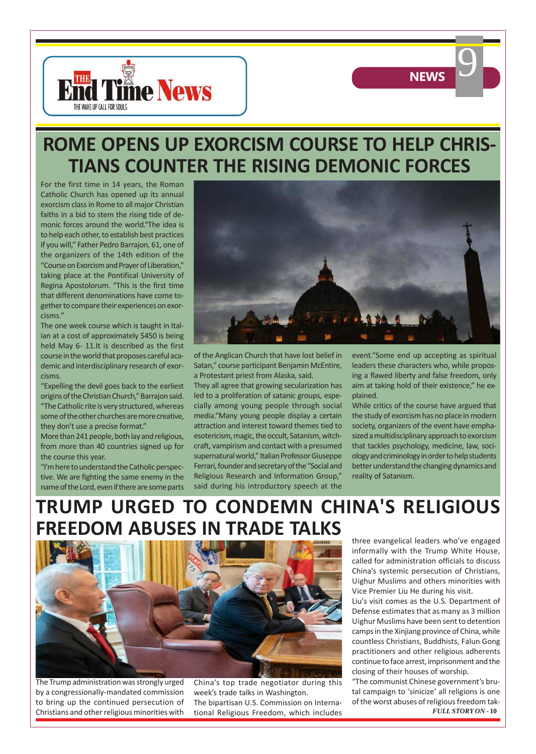

### **ROME OPENS UP EXORCISM COURSE TO HELP CHRIS-TIANS COUNTER THE RISING DEMONIC FORCES**

For the first time in 14 years, the Roman Catholic Church has opened up its annual exorcism class in Rome to all major Christian faiths in a bid to stem the rising tide of demonic forces around the world."The idea is to help each other, to establish best practices if you will," Father Pedro Barrajon, 61, one of the organizers of the 14th edition of the "Course on Exorcism and Prayer of Liberation," taking place at the Pontifical University of Regina Apostolorum. "This is the first time that different denominations have come together to compare their experiences on exorcisms."

The one week course which is taught in Italian at a cost of approximately \$450 is being held May 6- 11.It is described as the first course in the world that proposes careful academic and interdisciplinary research of exorcisms.

"Expelling the devil goes back to the earliest origins of the Christian Church," Barrajon said. "The Catholic rite is very structured, whereas some of the other churches are more creative, they don't use a precise format."

More than 241 people, both lay and religious, from more than 40 countries signed up for the course this year.

"I'm here to understand the Catholic perspective. We are fighting the same enemy in the name of the Lord, even if there are some parts



of the Anglican Church that have lost belief in Satan," course participant Benjamin McEntire, a Protestant priest from Alaska, said.

They all agree that growing secularization has led to a proliferation of satanic groups, especially among young people through social media."Many young people display a certain attraction and interest toward themes tied to esotericism, magic, the occult, Satanism, witchcraft, vampirism and contact with a presumed supernatural world," Italian Professor Giuseppe Ferrari, founder and secretary of the "Social and Religious Research and Information Group," said during his introductory speech at the

event."Some end up accepting as spiritual leaders these characters who, while proposing a flawed liberty and false freedom, only aim at taking hold of their existence," he explained.

**NEWS** 

While critics of the course have argued that the study of exorcism has no place in modern society, organizers of the event have emphasized a multidisciplinary approach to exorcism that tackles psychology, medicine, law, sociology and criminology in order to help students better understand the changing dynamics and reality of Satanism.

## **TRUMP URGED TO CONDEMN CHINA'S RELIGIOUS FREEDOM ABUSES IN TRADE TALKS**



The Trump administration was strongly urged by a congressionally-mandated commission to bring up the continued persecution of Christians and other religious minorities with

China's top trade negotiator during this week's trade talks in Washington. The bipartisan U.S. Commission on International Religious Freedom, which includes three evangelical leaders who've engaged informally with the Trump White House, called for administration officials to discuss China's systemic persecution of Christians, Uighur Muslims and others minorities with Vice Premier Liu He during his visit.

Liu's visit comes as the U.S. Department of Defense estimates that as many as 3 million Uighur Muslims have been sent to detention camps in the Xinjiang province of China, while countless Christians, Buddhists, Falun Gong practitioners and other religious adherents continue to face arrest, imprisonment and the closing of their houses of worship.

"The communist Chinese government's brutal campaign to 'sinicize' all religions is one of the worst abuses of religious freedom tak-*FULL STORY ON* **- 10**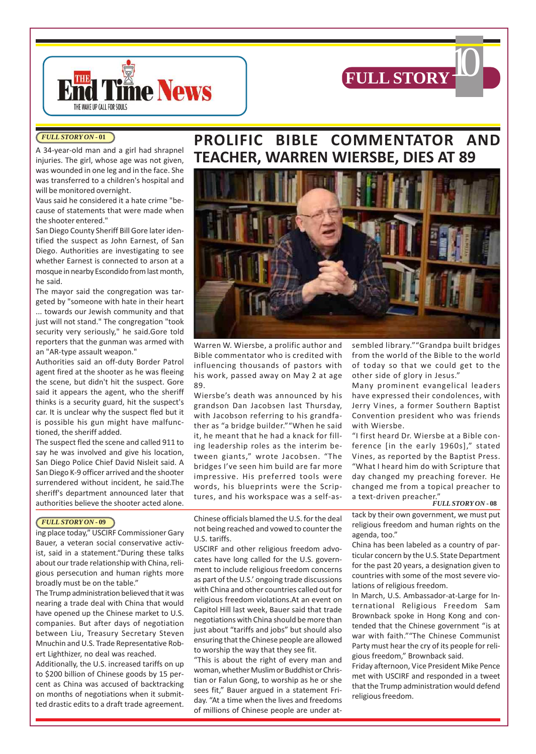

#### *FULL STORY ON* **- 01**

A 34-year-old man and a girl had shrapnel injuries. The girl, whose age was not given, was wounded in one leg and in the face. She was transferred to a children's hospital and will be monitored overnight.

THE WAKE UP CALL FOR SOULS

**Time News** 

Vaus said he considered it a hate crime "because of statements that were made when the shooter entered."

San Diego County Sheriff Bill Gore later identified the suspect as John Earnest, of San Diego. Authorities are investigating to see whether Earnest is connected to arson at a mosque in nearby Escondido from last month, he said.

The mayor said the congregation was targeted by "someone with hate in their heart ... towards our Jewish community and that just will not stand." The congregation "took security very seriously," he said.Gore told reporters that the gunman was armed with an "AR-type assault weapon."

Authorities said an off-duty Border Patrol agent fired at the shooter as he was fleeing the scene, but didn't hit the suspect. Gore said it appears the agent, who the sheriff thinks is a security guard, hit the suspect's car. It is unclear why the suspect fled but it is possible his gun might have malfunctioned, the sheriff added.

The suspect fled the scene and called 911 to say he was involved and give his location, San Diego Police Chief David Nisleit said. A San Diego K-9 officer arrived and the shooter surrendered without incident, he said.The sheriff's department announced later that authorities believe the shooter acted alone.

#### *FULL STORY ON* **- 09**

ing place today," USCIRF Commissioner Gary Bauer, a veteran social conservative activist, said in a statement."During these talks about our trade relationship with China, religious persecution and human rights more broadly must be on the table."

The Trump administration believed that it was nearing a trade deal with China that would have opened up the Chinese market to U.S. companies. But after days of negotiation between Liu, Treasury Secretary Steven Mnuchin and U.S. Trade Representative Robert Lighthizer, no deal was reached.

Additionally, the U.S. increased tariffs on up to \$200 billion of Chinese goods by 15 percent as China was accused of backtracking on months of negotiations when it submitted drastic edits to a draft trade agreement.

### **PROLIFIC BIBLE COMMENTATOR AND TEACHER, WARREN WIERSBE, DIES AT 89**



Warren W. Wiersbe, a prolific author and Bible commentator who is credited with influencing thousands of pastors with his work, passed away on May 2 at age 89.

Wiersbe's death was announced by his grandson Dan Jacobsen last Thursday, with Jacobson referring to his grandfather as "a bridge builder.""When he said it, he meant that he had a knack for filling leadership roles as the interim between giants," wrote Jacobsen. "The bridges I've seen him build are far more impressive. His preferred tools were words, his blueprints were the Scriptures, and his workspace was a self-as-

Chinese officials blamed the U.S. for the deal not being reached and vowed to counter the U.S. tariffs.

USCIRF and other religious freedom advocates have long called for the U.S. government to include religious freedom concerns as part of the U.S.' ongoing trade discussions with China and other countries called out for religious freedom violations.At an event on Capitol Hill last week, Bauer said that trade negotiations with China should be more than just about "tariffs and jobs" but should also ensuring that the Chinese people are allowed to worship the way that they see fit.

"This is about the right of every man and woman, whether Muslim or Buddhist or Christian or Falun Gong, to worship as he or she sees fit," Bauer argued in a statement Friday. "At a time when the lives and freedoms of millions of Chinese people are under at-

sembled library.""Grandpa built bridges from the world of the Bible to the world of today so that we could get to the other side of glory in Jesus."

Many prominent evangelical leaders have expressed their condolences, with Jerry Vines, a former Southern Baptist Convention president who was friends with Wiersbe.

"I first heard Dr. Wiersbe at a Bible conference [in the early 1960s]," stated Vines, as reported by the Baptist Press. "What I heard him do with Scripture that day changed my preaching forever. He changed me from a topical preacher to a text-driven preacher."

#### *FULL STORY ON* **- 08**

tack by their own government, we must put religious freedom and human rights on the agenda, too."

China has been labeled as a country of particular concern by the U.S. State Department for the past 20 years, a designation given to countries with some of the most severe violations of religious freedom.

In March, U.S. Ambassador-at-Large for International Religious Freedom Sam Brownback spoke in Hong Kong and contended that the Chinese government "is at war with faith.""The Chinese Communist Party must hear the cry of its people for religious freedom," Brownback said.

Friday afternoon, Vice President Mike Pence met with USCIRF and responded in a tweet that the Trump administration would defend religious freedom.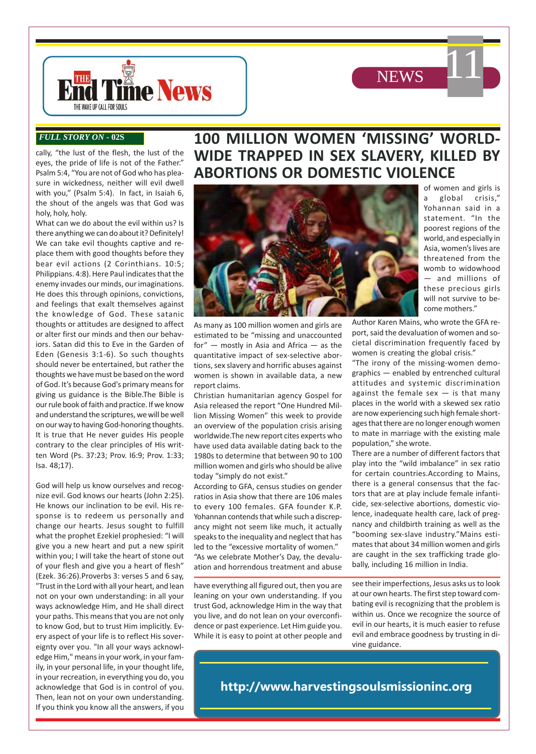



#### *FULL STORY ON* **- 02S**

cally, "the lust of the flesh, the lust of the eyes, the pride of life is not of the Father." Psalm 5:4, "You are not of God who has pleasure in wickedness, neither will evil dwell with you," (Psalm 5:4). In fact, in Isaiah 6, the shout of the angels was that God was holy, holy, holy.

What can we do about the evil within us? Is there anything we can do about it? Definitely! We can take evil thoughts captive and replace them with good thoughts before they bear evil actions (2 Corinthians. 10:5; Philippians. 4:8). Here Paul indicates that the enemy invades our minds, our imaginations. He does this through opinions, convictions, and feelings that exalt themselves against the knowledge of God. These satanic thoughts or attitudes are designed to affect or alter first our minds and then our behaviors. Satan did this to Eve in the Garden of Eden (Genesis 3:1-6). So such thoughts should never be entertained, but rather the thoughts we have must be based on the word of God. It's because God's primary means for giving us guidance is the Bible.The Bible is our rule book of faith and practice. If we know and understand the scriptures, we will be well on our way to having God-honoring thoughts. It is true that He never guides His people contrary to the clear principles of His written Word (Ps. 37:23; Prov. I6:9; Prov. 1:33; Isa. 48;17).

God will help us know ourselves and recognize evil. God knows our hearts (John 2:25). He knows our inclination to be evil. His response is to redeem us personally and change our hearts. Jesus sought to fulfill what the prophet Ezekiel prophesied: "I will give you a new heart and put a new spirit within you; I will take the heart of stone out of your flesh and give you a heart of flesh" (Ezek. 36:26).Proverbs 3: verses 5 and 6 say, "Trust in the Lord with all your heart, and lean not on your own understanding: in all your ways acknowledge Him, and He shall direct your paths. This means that you are not only to know God, but to trust Him implicitly. Every aspect of your life is to reflect His sovereignty over you. "In all your ways acknowledge Him," means in your work, in your family, in your personal life, in your thought life, in your recreation, in everything you do, you acknowledge that God is in control of you. Then, lean not on your own understanding. If you think you know all the answers, if you

### **100 MILLION WOMEN 'MISSING' WORLD-WIDE TRAPPED IN SEX SLAVERY, KILLED BY ABORTIONS OR DOMESTIC VIOLENCE**



As many as 100 million women and girls are estimated to be "missing and unaccounted for"  $-$  mostly in Asia and Africa  $-$  as the quantitative impact of sex-selective abortions, sex slavery and horrific abuses against women is shown in available data, a new report claims.

Christian humanitarian agency Gospel for Asia released the report "One Hundred Million Missing Women" this week to provide an overview of the population crisis arising worldwide.The new report cites experts who have used data available dating back to the 1980s to determine that between 90 to 100 million women and girls who should be alive today "simply do not exist."

According to GFA, census studies on gender ratios in Asia show that there are 106 males to every 100 females. GFA founder K.P. Yohannan contends that while such a discrepancy might not seem like much, it actually speaks to the inequality and neglect that has led to the "excessive mortality of women." "As we celebrate Mother's Day, the devaluation and horrendous treatment and abuse

have everything all figured out, then you are leaning on your own understanding. If you trust God, acknowledge Him in the way that you live, and do not lean on your overconfidence or past experience. Let Him guide you. While it is easy to point at other people and

of women and girls is a global crisis," Yohannan said in a statement. "In the poorest regions of the world, and especially in Asia, women's lives are threatened from the womb to widowhood — and millions of these precious girls will not survive to become mothers."

11

Author Karen Mains, who wrote the GFA report, said the devaluation of women and societal discrimination frequently faced by women is creating the global crisis."

"The irony of the missing-women demographics — enabled by entrenched cultural attitudes and systemic discrimination against the female sex  $-$  is that many places in the world with a skewed sex ratio are now experiencing such high female shortages that there are no longer enough women to mate in marriage with the existing male population," she wrote.

There are a number of different factors that play into the "wild imbalance" in sex ratio for certain countries.According to Mains, there is a general consensus that the factors that are at play include female infanticide, sex-selective abortions, domestic violence, inadequate health care, lack of pregnancy and childbirth training as well as the "booming sex-slave industry."Mains estimates that about 34 million women and girls are caught in the sex trafficking trade globally, including 16 million in India.

see their imperfections, Jesus asks us to look at our own hearts. The first step toward combating evil is recognizing that the problem is within us. Once we recognize the source of evil in our hearts, it is much easier to refuse evil and embrace goodness by trusting in divine guidance.

**http://www.harvestingsoulsmissioninc.org**